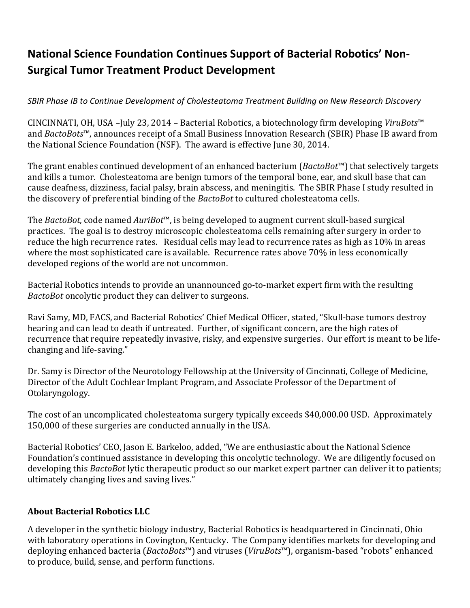## **National Science Foundation Continues Support of Bacterial Robotics' Non-Surgical Tumor Treatment Product Development**

*SBIR Phase IB to Continue Development of Cholesteatoma Treatment Building on New Research Discovery*

CINCINNATI, OH, USA –July 23, 2014 – Bacterial Robotics, a biotechnology firm developing *ViruBots*™ and *BactoBots*™, announces receipt of a Small Business Innovation Research (SBIR) Phase IB award from the National Science Foundation (NSF). The award is effective June 30, 2014.

The grant enables continued development of an enhanced bacterium (*BactoBot*™) that selectively targets and kills a tumor. Cholesteatoma are benign tumors of the temporal bone, ear, and skull base that can cause deafness, dizziness, facial palsy, brain abscess, and meningitis. The SBIR Phase I study resulted in the discovery of preferential binding of the *BactoBot* to cultured cholesteatoma cells.

The *BactoBot*, code named *AuriBot*™, is being developed to augment current skull-based surgical practices. The goal is to destroy microscopic cholesteatoma cells remaining after surgery in order to reduce the high recurrence rates. Residual cells may lead to recurrence rates as high as 10% in areas where the most sophisticated care is available. Recurrence rates above 70% in less economically developed regions of the world are not uncommon.

Bacterial Robotics intends to provide an unannounced go-to-market expert firm with the resulting *BactoBot* oncolytic product they can deliver to surgeons.

Ravi Samy, MD, FACS, and Bacterial Robotics' Chief Medical Officer, stated, "Skull-base tumors destroy hearing and can lead to death if untreated. Further, of significant concern, are the high rates of recurrence that require repeatedly invasive, risky, and expensive surgeries. Our effort is meant to be lifechanging and life-saving."

Dr. Samy is Director of the Neurotology Fellowship at the University of Cincinnati, College of Medicine, Director of the Adult Cochlear Implant Program, and Associate Professor of the Department of Otolaryngology.

The cost of an uncomplicated cholesteatoma surgery typically exceeds \$40,000.00 USD. Approximately 150,000 of these surgeries are conducted annually in the USA.

Bacterial Robotics' CEO, Jason E. Barkeloo, added, "We are enthusiastic about the National Science Foundation's continued assistance in developing this oncolytic technology. We are diligently focused on developing this *BactoBot* lytic therapeutic product so our market expert partner can deliver it to patients; ultimately changing lives and saving lives."

## **About Bacterial Robotics LLC**

A developer in the synthetic biology industry, Bacterial Robotics is headquartered in Cincinnati, Ohio with laboratory operations in Covington, Kentucky. The Company identifies markets for developing and deploying enhanced bacteria (*BactoBots*™) and viruses (*ViruBots*™), organism-based "robots" enhanced to produce, build, sense, and perform functions.